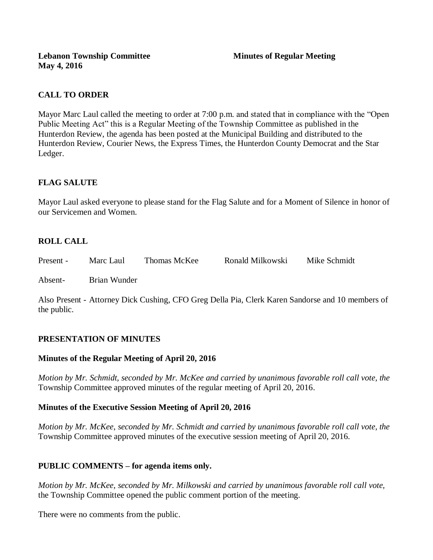# **CALL TO ORDER**

Mayor Marc Laul called the meeting to order at 7:00 p.m. and stated that in compliance with the "Open Public Meeting Act" this is a Regular Meeting of the Township Committee as published in the Hunterdon Review, the agenda has been posted at the Municipal Building and distributed to the Hunterdon Review, Courier News, the Express Times, the Hunterdon County Democrat and the Star Ledger.

# **FLAG SALUTE**

Mayor Laul asked everyone to please stand for the Flag Salute and for a Moment of Silence in honor of our Servicemen and Women.

# **ROLL CALL**

| Mike Schmidt<br>Ronald Milkowski<br>Thomas McKee<br>Present -<br>Marc Laul |  |
|----------------------------------------------------------------------------|--|
|----------------------------------------------------------------------------|--|

Absent- Brian Wunder

Also Present - Attorney Dick Cushing, CFO Greg Della Pia, Clerk Karen Sandorse and 10 members of the public.

# **PRESENTATION OF MINUTES**

#### **Minutes of the Regular Meeting of April 20, 2016**

*Motion by Mr. Schmidt, seconded by Mr. McKee and carried by unanimous favorable roll call vote, the*  Township Committee approved minutes of the regular meeting of April 20, 2016.

#### **Minutes of the Executive Session Meeting of April 20, 2016**

*Motion by Mr. McKee, seconded by Mr. Schmidt and carried by unanimous favorable roll call vote, the* Township Committee approved minutes of the executive session meeting of April 20, 2016.

# **PUBLIC COMMENTS – for agenda items only.**

*Motion by Mr. McKee, seconded by Mr. Milkowski and carried by unanimous favorable roll call vote,*  the Township Committee opened the public comment portion of the meeting.

There were no comments from the public.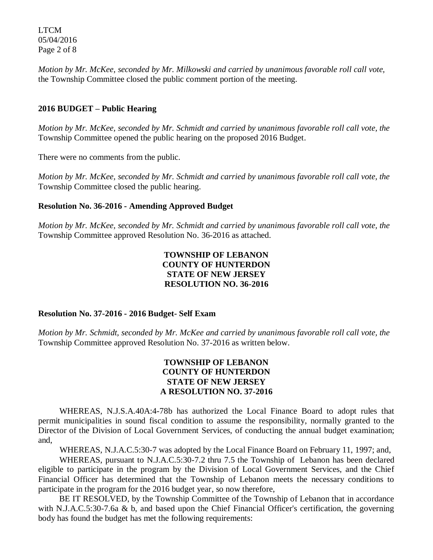LTCM 05/04/2016 Page 2 of 8

*Motion by Mr. McKee, seconded by Mr. Milkowski and carried by unanimous favorable roll call vote,* the Township Committee closed the public comment portion of the meeting.

#### **2016 BUDGET – Public Hearing**

*Motion by Mr. McKee, seconded by Mr. Schmidt and carried by unanimous favorable roll call vote, the* Township Committee opened the public hearing on the proposed 2016 Budget.

There were no comments from the public.

*Motion by Mr. McKee, seconded by Mr. Schmidt and carried by unanimous favorable roll call vote, the* Township Committee closed the public hearing.

#### **Resolution No. 36-2016 - Amending Approved Budget**

*Motion by Mr. McKee, seconded by Mr. Schmidt and carried by unanimous favorable roll call vote, the* Township Committee approved Resolution No. 36-2016 as attached.

# **TOWNSHIP OF LEBANON COUNTY OF HUNTERDON STATE OF NEW JERSEY RESOLUTION NO. 36-2016**

#### **Resolution No. 37-2016 - 2016 Budget- Self Exam**

*Motion by Mr. Schmidt, seconded by Mr. McKee and carried by unanimous favorable roll call vote, the* Township Committee approved Resolution No. 37-2016 as written below.

# **TOWNSHIP OF LEBANON COUNTY OF HUNTERDON STATE OF NEW JERSEY A RESOLUTION NO. 37-2016**

 WHEREAS, N.J.S.A.40A:4-78b has authorized the Local Finance Board to adopt rules that permit municipalities in sound fiscal condition to assume the responsibility, normally granted to the Director of the Division of Local Government Services, of conducting the annual budget examination; and,

WHEREAS, N.J.A.C.5:30-7 was adopted by the Local Finance Board on February 11, 1997; and,

 WHEREAS, pursuant to N.J.A.C.5:30-7.2 thru 7.5 the Township of Lebanon has been declared eligible to participate in the program by the Division of Local Government Services, and the Chief Financial Officer has determined that the Township of Lebanon meets the necessary conditions to participate in the program for the 2016 budget year, so now therefore,

BE IT RESOLVED, by the Township Committee of the Township of Lebanon that in accordance with N.J.A.C.5:30-7.6a & b, and based upon the Chief Financial Officer's certification, the governing body has found the budget has met the following requirements: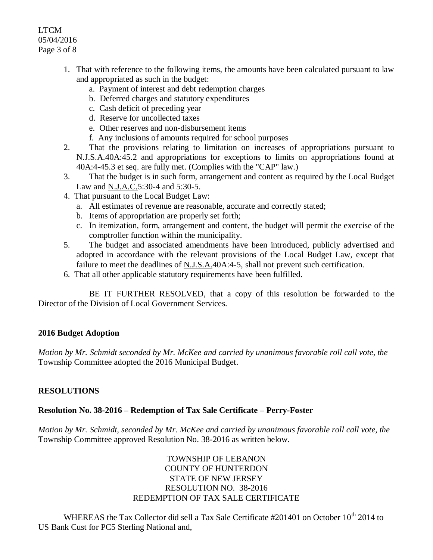# LTCM 05/04/2016 Page 3 of 8

- 1. That with reference to the following items, the amounts have been calculated pursuant to law and appropriated as such in the budget:
	- a. Payment of interest and debt redemption charges
	- b. Deferred charges and statutory expenditures
	- c. Cash deficit of preceding year
	- d. Reserve for uncollected taxes
	- e. Other reserves and non-disbursement items
	- f. Any inclusions of amounts required for school purposes
- 2. That the provisions relating to limitation on increases of appropriations pursuant to N.J.S.A.40A:45.2 and appropriations for exceptions to limits on appropriations found at 40A:4-45.3 et seq. are fully met. (Complies with the "CAP" law.)
- 3. That the budget is in such form, arrangement and content as required by the Local Budget Law and <u>N.J.A.C.</u>5:30-4 and 5:30-5.
- 4. That pursuant to the Local Budget Law:
	- a. All estimates of revenue are reasonable, accurate and correctly stated;
	- b. Items of appropriation are properly set forth;
	- c. In itemization, form, arrangement and content, the budget will permit the exercise of the comptroller function within the municipality.
- 5. The budget and associated amendments have been introduced, publicly advertised and adopted in accordance with the relevant provisions of the Local Budget Law, except that failure to meet the deadlines of N.J.S.A.40A:4-5, shall not prevent such certification.
- 6. That all other applicable statutory requirements have been fulfilled.

BE IT FURTHER RESOLVED, that a copy of this resolution be forwarded to the Director of the Division of Local Government Services.

# **2016 Budget Adoption**

*Motion by Mr. Schmidt seconded by Mr. McKee and carried by unanimous favorable roll call vote, the* Township Committee adopted the 2016 Municipal Budget.

# **RESOLUTIONS**

#### **Resolution No. 38-2016 – Redemption of Tax Sale Certificate – Perry-Foster**

*Motion by Mr. Schmidt, seconded by Mr. McKee and carried by unanimous favorable roll call vote, the* Township Committee approved Resolution No. 38-2016 as written below.

# TOWNSHIP OF LEBANON COUNTY OF HUNTERDON STATE OF NEW JERSEY RESOLUTION NO. 38-2016 REDEMPTION OF TAX SALE CERTIFICATE

WHEREAS the Tax Collector did sell a Tax Sale Certificate #201401 on October 10<sup>th</sup> 2014 to US Bank Cust for PC5 Sterling National and,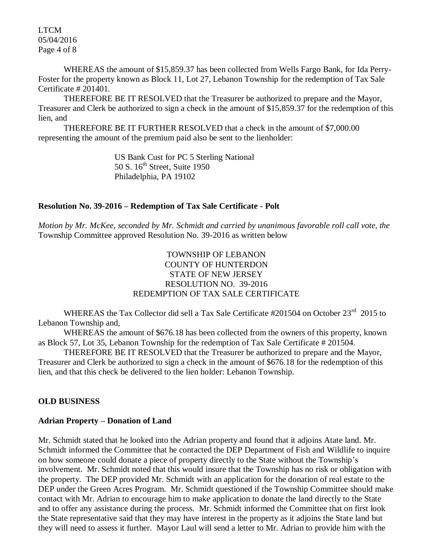LTCM 05/04/2016 Page 4 of 8

WHEREAS the amount of \$15,859.37 has been collected from Wells Fargo Bank, for Ida Perry-Foster for the property known as Block 11, Lot 27, Lebanon Township for the redemption of Tax Sale Certificate # 201401.

THEREFORE BE IT RESOLVED that the Treasurer be authorized to prepare and the Mayor, Treasurer and Clerk be authorized to sign a check in the amount of \$15,859.37 for the redemption of this lien, and

THEREFORE BE IT FURTHER RESOLVED that a check in the amount of \$7,000.00 representing the amount of the premium paid also be sent to the lienholder:

> US Bank Cust for PC 5 Sterling National 50 S.  $16<sup>th</sup>$  Street, Suite 1950 Philadelphia, PA 19102

#### **Resolution No. 39-2016 – Redemption of Tax Sale Certificate - Polt**

*Motion by Mr. McKee, seconded by Mr. Schmidt and carried by unanimous favorable roll call vote, the* Township Committee approved Resolution No. 39-2016 as written below

# TOWNSHIP OF LEBANON COUNTY OF HUNTERDON STATE OF NEW JERSEY RESOLUTION NO. 39-2016 REDEMPTION OF TAX SALE CERTIFICATE

WHEREAS the Tax Collector did sell a Tax Sale Certificate #201504 on October 23<sup>rd</sup> 2015 to Lebanon Township and,

WHEREAS the amount of \$676.18 has been collected from the owners of this property, known as Block 57, Lot 35, Lebanon Township for the redemption of Tax Sale Certificate # 201504.

THEREFORE BE IT RESOLVED that the Treasurer be authorized to prepare and the Mayor, Treasurer and Clerk be authorized to sign a check in the amount of \$676.18 for the redemption of this lien, and that this check be delivered to the lien holder: Lebanon Township.

#### **OLD BUSINESS**

#### **Adrian Property – Donation of Land**

Mr. Schmidt stated that he looked into the Adrian property and found that it adjoins Atate land. Mr. Schmidt informed the Committee that he contacted the DEP Department of Fish and Wildlife to inquire on how someone could donate a piece of property directly to the State without the Township's involvement. Mr. Schmidt noted that this would insure that the Township has no risk or obligation with the property. The DEP provided Mr. Schmidt with an application for the donation of real estate to the DEP under the Green Acres Program. Mr. Schmidt questioned if the Township Committee should make contact with Mr. Adrian to encourage him to make application to donate the land directly to the State and to offer any assistance during the process. Mr. Schmidt informed the Committee that on first look the State representative said that they may have interest in the property as it adjoins the State land but they will need to assess it further. Mayor Laul will send a letter to Mr. Adrian to provide him with the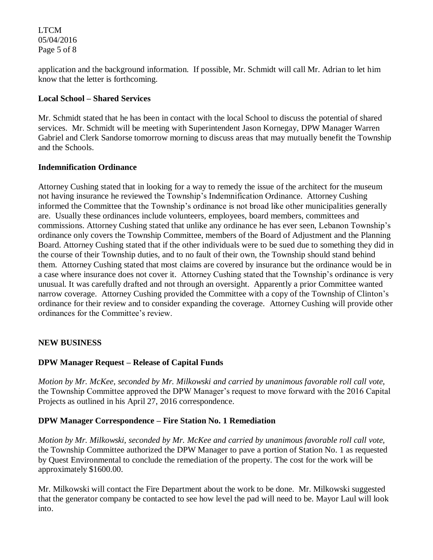LTCM 05/04/2016 Page 5 of 8

application and the background information. If possible, Mr. Schmidt will call Mr. Adrian to let him know that the letter is forthcoming.

#### **Local School – Shared Services**

Mr. Schmidt stated that he has been in contact with the local School to discuss the potential of shared services. Mr. Schmidt will be meeting with Superintendent Jason Kornegay, DPW Manager Warren Gabriel and Clerk Sandorse tomorrow morning to discuss areas that may mutually benefit the Township and the Schools.

#### **Indemnification Ordinance**

Attorney Cushing stated that in looking for a way to remedy the issue of the architect for the museum not having insurance he reviewed the Township's Indemnification Ordinance. Attorney Cushing informed the Committee that the Township's ordinance is not broad like other municipalities generally are. Usually these ordinances include volunteers, employees, board members, committees and commissions. Attorney Cushing stated that unlike any ordinance he has ever seen, Lebanon Township's ordinance only covers the Township Committee, members of the Board of Adjustment and the Planning Board. Attorney Cushing stated that if the other individuals were to be sued due to something they did in the course of their Township duties, and to no fault of their own, the Township should stand behind them. Attorney Cushing stated that most claims are covered by insurance but the ordinance would be in a case where insurance does not cover it. Attorney Cushing stated that the Township's ordinance is very unusual. It was carefully drafted and not through an oversight. Apparently a prior Committee wanted narrow coverage. Attorney Cushing provided the Committee with a copy of the Township of Clinton's ordinance for their review and to consider expanding the coverage. Attorney Cushing will provide other ordinances for the Committee's review.

#### **NEW BUSINESS**

#### **DPW Manager Request – Release of Capital Funds**

*Motion by Mr. McKee, seconded by Mr. Milkowski and carried by unanimous favorable roll call vote,*  the Township Committee approved the DPW Manager's request to move forward with the 2016 Capital Projects as outlined in his April 27, 2016 correspondence.

#### **DPW Manager Correspondence – Fire Station No. 1 Remediation**

*Motion by Mr. Milkowski, seconded by Mr. McKee and carried by unanimous favorable roll call vote,*  the Township Committee authorized the DPW Manager to pave a portion of Station No. 1 as requested by Quest Environmental to conclude the remediation of the property. The cost for the work will be approximately \$1600.00.

Mr. Milkowski will contact the Fire Department about the work to be done. Mr. Milkowski suggested that the generator company be contacted to see how level the pad will need to be. Mayor Laul will look into.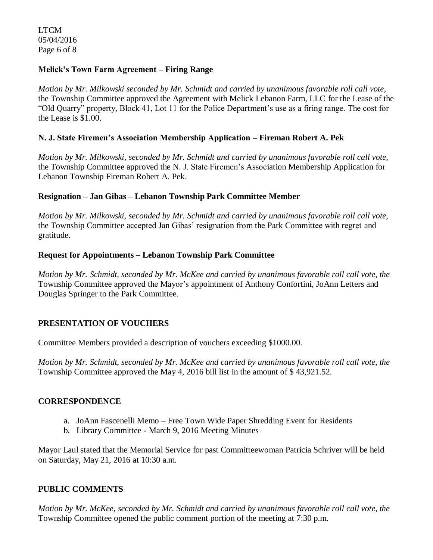LTCM 05/04/2016 Page 6 of 8

### **Melick's Town Farm Agreement – Firing Range**

*Motion by Mr. Milkowski seconded by Mr. Schmidt and carried by unanimous favorable roll call vote,*  the Township Committee approved the Agreement with Melick Lebanon Farm, LLC for the Lease of the "Old Quarry" property, Block 41, Lot 11 for the Police Department's use as a firing range. The cost for the Lease is \$1.00.

## **N. J. State Firemen's Association Membership Application – Fireman Robert A. Pek**

*Motion by Mr. Milkowski, seconded by Mr. Schmidt and carried by unanimous favorable roll call vote,*  the Township Committee approved the N. J. State Firemen's Association Membership Application for Lebanon Township Fireman Robert A. Pek.

#### **Resignation – Jan Gibas – Lebanon Township Park Committee Member**

*Motion by Mr. Milkowski, seconded by Mr. Schmidt and carried by unanimous favorable roll call vote,*  the Township Committee accepted Jan Gibas' resignation from the Park Committee with regret and gratitude.

## **Request for Appointments – Lebanon Township Park Committee**

*Motion by Mr. Schmidt, seconded by Mr. McKee and carried by unanimous favorable roll call vote, the* Township Committee approved the Mayor's appointment of Anthony Confortini, JoAnn Letters and Douglas Springer to the Park Committee.

# **PRESENTATION OF VOUCHERS**

Committee Members provided a description of vouchers exceeding \$1000.00.

*Motion by Mr. Schmidt, seconded by Mr. McKee and carried by unanimous favorable roll call vote, the* Township Committee approved the May 4, 2016 bill list in the amount of \$ 43,921.52.

#### **CORRESPONDENCE**

- a. JoAnn Fascenelli Memo Free Town Wide Paper Shredding Event for Residents
- b. Library Committee March 9, 2016 Meeting Minutes

Mayor Laul stated that the Memorial Service for past Committeewoman Patricia Schriver will be held on Saturday, May 21, 2016 at 10:30 a.m.

#### **PUBLIC COMMENTS**

*Motion by Mr. McKee, seconded by Mr. Schmidt and carried by unanimous favorable roll call vote, the* Township Committee opened the public comment portion of the meeting at 7:30 p.m.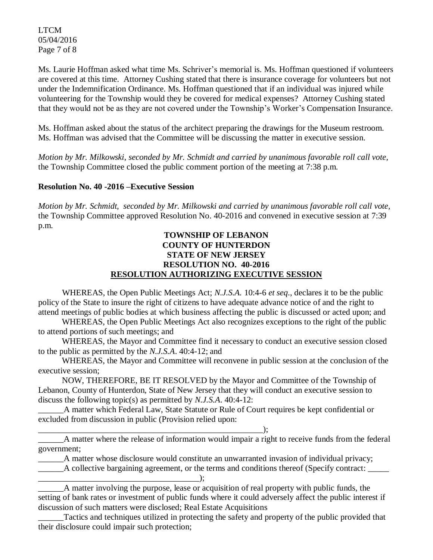LTCM 05/04/2016 Page 7 of 8

Ms. Laurie Hoffman asked what time Ms. Schriver's memorial is. Ms. Hoffman questioned if volunteers are covered at this time. Attorney Cushing stated that there is insurance coverage for volunteers but not under the Indemnification Ordinance. Ms. Hoffman questioned that if an individual was injured while volunteering for the Township would they be covered for medical expenses? Attorney Cushing stated that they would not be as they are not covered under the Township's Worker's Compensation Insurance.

Ms. Hoffman asked about the status of the architect preparing the drawings for the Museum restroom. Ms. Hoffman was advised that the Committee will be discussing the matter in executive session.

*Motion by Mr. Milkowski, seconded by Mr. Schmidt and carried by unanimous favorable roll call vote,* the Township Committee closed the public comment portion of the meeting at 7:38 p.m.

## **Resolution No. 40 -2016 –Executive Session**

*Motion by Mr. Schmidt, seconded by Mr. Milkowski and carried by unanimous favorable roll call vote,* the Township Committee approved Resolution No. 40-2016 and convened in executive session at 7:39 p.m.

## **TOWNSHIP OF LEBANON COUNTY OF HUNTERDON STATE OF NEW JERSEY RESOLUTION NO. 40-2016 RESOLUTION AUTHORIZING EXECUTIVE SESSION**

WHEREAS, the Open Public Meetings Act; *N.J.S.A.* 10:4-6 *et seq*., declares it to be the public policy of the State to insure the right of citizens to have adequate advance notice of and the right to attend meetings of public bodies at which business affecting the public is discussed or acted upon; and

WHEREAS, the Open Public Meetings Act also recognizes exceptions to the right of the public to attend portions of such meetings; and

WHEREAS, the Mayor and Committee find it necessary to conduct an executive session closed to the public as permitted by the *N.J.S.A*. 40:4-12; and

WHEREAS, the Mayor and Committee will reconvene in public session at the conclusion of the executive session;

NOW, THEREFORE, BE IT RESOLVED by the Mayor and Committee of the Township of Lebanon, County of Hunterdon, State of New Jersey that they will conduct an executive session to discuss the following topic(s) as permitted by *N.J.S.A*. 40:4-12:

A matter which Federal Law, State Statute or Rule of Court requires be kept confidential or excluded from discussion in public (Provision relied upon:

\_\_\_\_\_\_\_\_\_\_\_\_\_\_\_\_\_\_\_\_\_\_\_\_\_\_\_\_\_\_\_\_\_\_\_\_\_\_\_\_\_\_\_\_\_\_\_\_\_\_\_\_\_);

\_\_\_\_\_\_A matter where the release of information would impair a right to receive funds from the federal government;

\_\_\_\_\_\_A matter whose disclosure would constitute an unwarranted invasion of individual privacy;

\_\_\_\_\_\_A collective bargaining agreement, or the terms and conditions thereof (Specify contract: \_\_\_\_\_

\_\_\_\_\_\_\_\_\_\_\_\_\_\_\_\_\_\_\_\_\_\_\_\_\_\_\_\_\_\_\_\_\_\_\_\_\_\_); A matter involving the purpose, lease or acquisition of real property with public funds, the setting of bank rates or investment of public funds where it could adversely affect the public interest if discussion of such matters were disclosed; Real Estate Acquisitions

Tactics and techniques utilized in protecting the safety and property of the public provided that their disclosure could impair such protection;